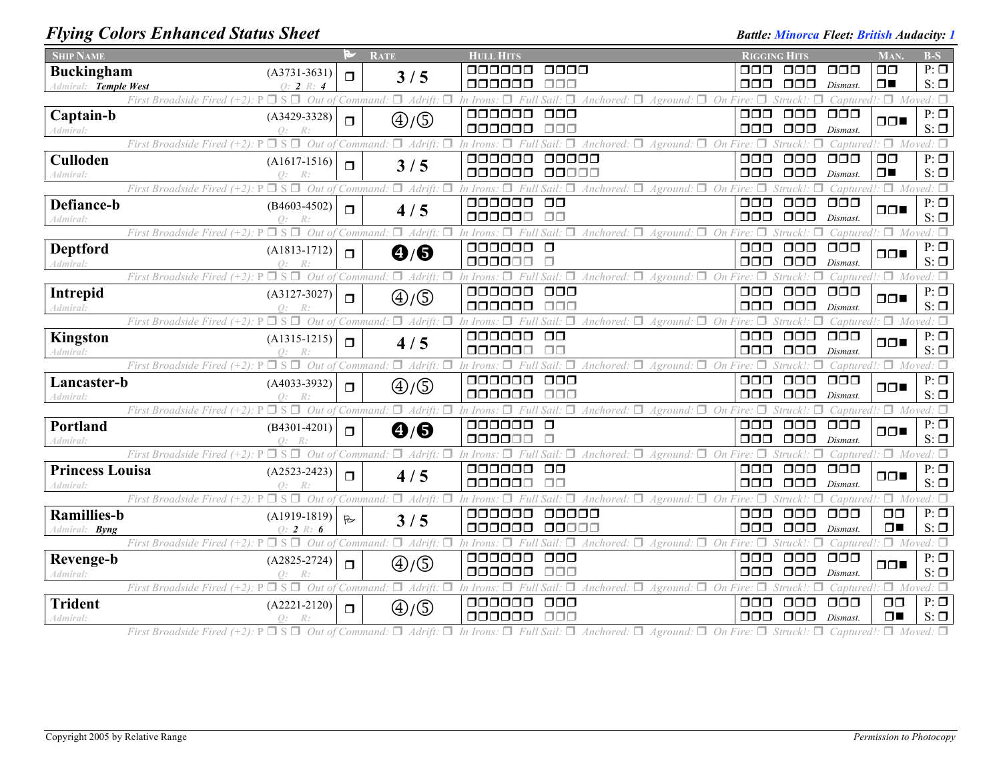## *Flying Colors Enhanced Status Sheet Battle: Minorca Fleet: British Audacity: 1 Battle: Minorca Fleet: British Audacity: 1*

| <b>SHIP NAME</b>                                                                     | P            | <b>RATE</b>                              | <b>HULL HITS</b>                                                                                                      | <b>RIGGING HITS</b> |                                 |                                  | <b>MAN</b>                      | $B-S$                             |
|--------------------------------------------------------------------------------------|--------------|------------------------------------------|-----------------------------------------------------------------------------------------------------------------------|---------------------|---------------------------------|----------------------------------|---------------------------------|-----------------------------------|
| <b>Buckingham</b><br>$(A3731 - 3631)$                                                | $\Box$       | 3/5                                      | 0000<br>000000                                                                                                        | ooo                 | 000                             | $\Box$ $\Box$ $\Box$             | $\Box$ $\Box$                   | $P: \Box$                         |
| Admiral: Temple West<br>$Q: 2 \, R: 4$                                               |              |                                          | ooooo<br>ooo                                                                                                          | OOO                 | 000                             | Dismast.                         | $\Box$                          | $S: \Box$                         |
| First Broadside Fired (+2):                                                          |              | Out of Command: $\Box$ Adrift.<br>$\Box$ | Anchored: $\Box$ Aground: $\Box$ On Fire: $\Box$<br>In Irons:                                                         |                     |                                 |                                  | Captured!: $\Box$ Moved: $\Box$ |                                   |
| Captain-b<br>$(A3429-3328)$                                                          | $\Box$       | $\bigoplus/\bigoplus$                    | 000000<br>$\Box$ $\Box$ $\Box$                                                                                        | $\Box\Box\Box$      | $\Box$ $\Box$                   | $\Box$ $\Box$ $\Box$             | $\Box$                          | $P: \Box$                         |
| $Q$ :<br>Admiral:                                                                    |              |                                          | 000000<br>$\Box\Box\Box$                                                                                              | $\Box$ $\Box$       | $\Box$ $\Box$                   | Dismast.                         |                                 | $S: \Box$                         |
| First Broadside Fired $(+2)$ : P $\Box$ S $\Box$                                     |              | Out of Command: $\Box$ Adrift.<br>$\Box$ | Anchored: $\Box$ Aground: $\Box$ On<br>In Irons.<br>□                                                                 | Fire: $\Box$        | Struck!                         |                                  | Captured!: $\Box$ Moved: $\Box$ |                                   |
| Culloden<br>$(A1617-1516)$                                                           | $\Box$       | 3/5                                      | 000000<br>00000<br>000000<br>00000                                                                                    | $\Box$ $\Box$       | $\Box \Box \Box$                | $\Box$ $\Box$ $\Box$             | $\Box$ $\Box$<br>$\Box$         | $P: \Box$                         |
| $Q$ :<br>Admiral:<br>First Broadside Fired $(+2)$ : P<br>$\Box$ S $\Box$ Out of      |              | Command: $\Box$ Adrift.                  | Anchored: $\Box$ Aground: $\Box$ On                                                                                   | 000                 | $\Box$ $\Box$                   | Dismast.                         |                                 | $S: \Box$<br>$\Box$ Moved: $\Box$ |
| Defiance-b                                                                           |              |                                          | 000000<br>$\Box$ $\Box$                                                                                               | $\Box$ $\Box$       | $\Box$ $\Box$ $\Box$            | Capturec<br>$\Box$ $\Box$ $\Box$ |                                 | $P: \Box$                         |
| $(B4603 - 4502)$<br>Admiral:                                                         | $\Box$       | 4/5                                      | $\Box$<br>000000                                                                                                      | 000                 | $\Box$ $\Box$                   | Dismast.                         | $\Box$                          | $S: \Box$                         |
| First Broadside Fired $(+2)$ : $P \Box S \Box$<br>Out of                             |              | Command: $\Box$ Adrift:<br>л             | п<br>Anchored: $\Box$ Aground: $\Box$ On                                                                              |                     | Struck!:                        | Captured                         |                                 | $\Box$ Moved: $\Box$              |
| <b>Deptford</b><br>$(A1813-1712)$                                                    |              |                                          | 000000<br>$\Box$                                                                                                      | 000                 | $\Box$ $\Box$                   | $\Box$ $\Box$ $\Box$             |                                 | $P: \Box$                         |
| Admiral:                                                                             | $\Box$       | $\mathbf{\Theta}/\mathbf{\Theta}$        | 000000                                                                                                                | 000                 | $\Box$ $\Box$                   | Dismast.                         | $\Box$                          | $S: \Box$                         |
| First Broadside Fired $(+2)$ : $P \Box S \Box$ Out of Command: $\Box$ Adrift:        |              | п.                                       | Anchored: $\Box$ Aground: $\Box$ On Fire: $\Box$<br>٠n<br>In Irons:                                                   |                     | Struck!:                        |                                  | Captured!: $\Box$ Moved: $\Box$ |                                   |
| Intrepid<br>$(A3127-3027)$                                                           | $\Box$       | $\textcircled{4}/\textcircled{5}$        | 000000<br>$\Box\Box\Box$                                                                                              | $\Box$ $\Box$       | $\Box$ Box                      | $\Box$ $\Box$ $\Box$             | $\Box$                          | $P: \Box$                         |
| Admiral:                                                                             |              |                                          | 000000<br>$\Box \Box \Box$                                                                                            | 000                 | $\Box$ $\Box$                   | Dismast.                         |                                 | $S: \Box$                         |
| First Broadside Fired $(+2)$ : $P \Box S \Box$ Out of                                |              | Command: $\Box$ Adrift: $\Box$           | Anchored: $\Box$ Aground: $\Box$ On Fire: $\Box$<br>□<br>Ful<br>In Irons:                                             |                     | Struck!                         |                                  | Captured!: $\Box$ Moved: $\Box$ |                                   |
| <b>Kingston</b><br>$(A1315-1215)$                                                    | $\Box$       | 4/5                                      | 000000<br>$\Box$ $\Box$                                                                                               | 000                 | $\Box$ $\Box$                   | $\Box$ $\Box$ $\Box$             | $\Box$                          | $P: \Box$                         |
| $\bigcap$ :<br>Admiral:                                                              |              |                                          | 000000<br>$\Box$                                                                                                      | $\Box$ $\Box$       | $\Box$ $\Box$                   | Dismast.                         |                                 | $S: \Box$                         |
| First Broadside Fired $(+2)$ : $P \Box S \Box$ Out of Command: $\Box$ Adrift: $\Box$ |              |                                          | In Irons: $\Box$ Full Sail: $\Box$ Anchored: $\Box$ Aground: $\Box$ On Fire: $\Box$<br>000000<br>$\Box$ $\Box$ $\Box$ | 000                 | Struck!<br>$\Box$ $\Box$ $\Box$ | $\Box$ $\Box$ $\Box$             | Captured!: $\Box$ Moved: $\Box$ | $P: \Box$                         |
| Lancaster-b<br>$(A4033-3932)$<br>Admiral:                                            | $\Box$       | $\textcircled{4}/\textcircled{5}$        | 000000<br>$\Box \Box \Box$                                                                                            | 000                 | $\Box$ $\Box$                   | Dismast.                         | $\Box$                          | $S: \Box$                         |
| First Broadside Fired $(+2)$ : $P \Box S \Box$                                       |              | Out of Command: $\Box$ Adrift: $\Box$    | Anchored: $\Box$ Aground: $\Box$ On Fire:<br>In Irons: $\square$<br>Full Sail                                         |                     | Struck!:                        | Captured.                        |                                 | $\Box$ Moved: $\Box$              |
| Portland<br>$(B4301 - 4201)$                                                         |              |                                          | 000000<br>$\Box$                                                                                                      | 000                 | $\Box$ $\Box$ $\Box$            | $\Box$ $\Box$ $\Box$             |                                 | $P: \Box$                         |
| Admiral:<br>$Q$ :                                                                    | $\Box$       | $\mathbf{O}/\mathbf{O}$                  | 000000<br>$\Box$                                                                                                      | ooo                 | $\Box \Box \Box$                | Dismast.                         | $\Box$                          | $S: \Box$                         |
| First Broadside Fired $(+2)$ : $P \Box S \Box$ Out of Command: $\Box$ Adrift: $\Box$ |              |                                          | $\Box$ Anchored: $\Box$ Aground: $\Box$ On Fire: $\Box$<br>In Irons: $\Box$<br>Sail:                                  |                     | Struck!:                        |                                  | Captured!: $\Box$ Moved: $\Box$ |                                   |
| <b>Princess Louisa</b><br>$(A2523 - 2423)$                                           | $\Box$       | 4/5                                      | 000000<br>$\Box$ $\Box$                                                                                               | 000                 | $\Box$ $\Box$                   | $\Box$ $\Box$ $\Box$             | $\Box$                          | $P: \Box$                         |
| Q:<br>Admiral:                                                                       |              |                                          | 000000<br>$\Box$ $\Box$                                                                                               | $\Box$ $\Box$       | $\Box\Box\Box$                  | Dismast.                         |                                 | $S: \Box$                         |
| First Broadside Fired $(+2)$ : $P \Box S \Box$ Out of Command: $\Box$ Adrift: $\Box$ |              |                                          | Anchored: $\Box$ Aground: $\Box$ On Fire: $\Box$<br>In Irons:<br>□<br>Full Sail.                                      |                     | Struck!<br>п                    | Captured                         |                                 | $\Box$ Moved: $\Box$              |
| <b>Ramillies-b</b><br>$(A1919-1819)$                                                 | $\mathbb{R}$ | 3/5                                      | 000000<br>00000                                                                                                       | 000                 | $\Box \Box \Box$                | $\Box$ $\Box$ $\Box$             | $\Box$ $\Box$                   | $P: \Box$                         |
| O: 2 R: 6<br>Admiral: <b>Byng</b>                                                    |              |                                          | 000000<br>00000                                                                                                       | ooo                 | $\Box$ $\Box$                   | Dismast.                         | $\Box$                          | $S: \Box$                         |
| First Broadside Fired $(+2)$ : $P \Box S \Box$ Out of                                |              | Command: $\Box$ Adrift: $\Box$           | Anchored: $\Box$ Aground: $\Box$ On Fire: $\Box$<br>$\Box$<br>$Sail: \Box$                                            |                     | Struck!:                        | Captured                         |                                 | $\Box$ Moved: $\Box$              |
| <b>Revenge-b</b><br>$(A2825-2724)$                                                   | $\Box$       | $\textcircled{4}/\textcircled{5}$        | 000000<br>000<br>000000<br>$\Box\Box\Box$                                                                             | 000<br>000          | $\Box$ $\Box$<br>$\Box$ $\Box$  | $\Box$ $\Box$ $\Box$             | $\Box$                          | $P: \Box$<br>$S: \Box$            |
| Admiral:<br>First Broadside Fired $(+2)$ : $P \Box S \Box$ Out of                    |              | Command: $\Box$ Adrift: $\Box$           | Anchored: $\Box$ Aground: $\Box$ On<br>□<br>$\Box$<br>n Irons                                                         |                     | Struck!:                        | Dismast.<br>Captured             |                                 | $\Box$ Moved: $\Box$              |
| <b>Trident</b>                                                                       |              |                                          | 000000<br>$\Box$ $\Box$                                                                                               | 000                 | $\Box$ $\Box$                   | $\Box$ $\Box$                    | $\Box$ $\Box$                   | $P: \Box$                         |
| $(A2221-2120)$<br>$Q$ :<br>R:<br>Admiral:                                            | $\Box$       | $\textcircled{4}/\textcircled{5}$        | 000000<br>$\Box$ Box                                                                                                  | $\Box$ $\Box$       | $\Box$ $\Box$                   | Dismast.                         | $\Box$                          | $S: \Box$                         |

First Broadside Fired  $(+2)$ :  $P \Box S \Box$  Out of Command:  $\Box$  Adrift:  $\Box$  In Irons:  $\Box$  Full Sail:  $\Box$  Anchored:  $\Box$  Aground:  $\Box$  On Fire:  $\Box$  Struck!:  $\Box$  Captured!:  $\Box$  Moved:  $\Box$